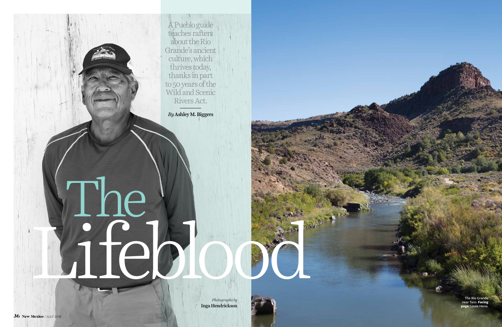The Río Grande near Taos. **Facing page:** Louie Hena.

A Pueblo guide teaches rafters about the Río Grande's ancient culture, which thrives today, thanks in part to 50 years of the Wild and Scenic Rivers Act.

*By* Ashley M. Biggers

*Photographs by*  Inga Hendrickson

# Lifeblood The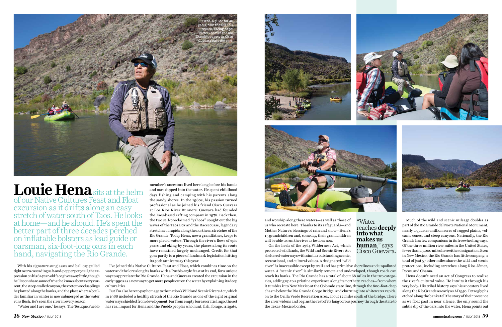With his signature sunglasses and ball cap pulled tight over a cascading salt-and-pepper ponytail, the expression on his 61-year-old face gives away little, though he'll soon share some of what he knows about every current, the steep-walled canyon, the cottonwood saplings he planted along the banks, and the place where a boulder familiar in winter is now submerged as the water runs flush. He's seen the river in every season.

"Water and I are one," he says. The Tesuque Pueblo

and worship along these waters—as well as those of us who recreate here. Thanks to its safeguards—and Mother Nature's blessings of rain and snow—Hena's 13 grandchildren and, someday, their grandchildren will be able to run the river as he does now.

On the heels of the 1964 Wilderness Act, which protected wildlands, the Wild and Scenic Rivers Act sheltered waterways with similar outstanding scenic, recreational, and cultural values. A designated "wild reaches **deeply into what makes us Cisco Guevara.** 

river" is inaccessible except by trail and has primitive shorelines and unpolluted water. A "scenic river" is similarly remote and undeveloped, though roads can reach its banks. The Río Grande has a total of about 68 miles in the two categories, adding up to a pristine experience along its northern reaches—from where it tumbles into New Mexico at the Colorado state line, through the 800-foot-deep chasm below the Río Grande Gorge Bridge, and churning into whitewater rapids, on to the Orilla Verde Recreation Area, about 12 miles south of the bridge. There the river widens and begins the rest of its languorous journey through the state to the Texas-Mexico border.



Much of the wild and scenic mileage doubles as part of the Río Grande del Norte National Monument, nearly a quarter-million acres of rugged plains, volcanic cones, and steep canyons. Nationally, the Río Grande has few companions in its freewheeling ways. Of the three million river miles in the United States, fewer than 13,000 miles have either designation. Even in New Mexico, the Río Grande has little company; a total of just 57 other miles share the wild and scenic protections, including stretches along Ríos Jémez, Pecos, and Chama.

Hena doesn't need an act of Congress to realize the river's cultural value. He intuits it through his very body. His tribal history says his ancestors lived along the Río Grande as early as AD 950. Petroglyphs etched along the banks tell the story of their presence as we float past in near silence, the only sound the subtle dip of the oars into the water. Hena points out

"Water



member's ancestors lived here long before his hands and oars dipped into the water. He spent childhood days fishing and camping with his parents along the sandy shores. In the 1980s, his passion turned professional as he joined his friend Cisco Guevara at Los Rios River Runners. Guevara had founded the Taos-based rafting company in 1978. Back then, the two self-proclaimed "yahoos" sought out the big waves of the Taos Box and the Racecourse, legendary stretches of rapids along the northern stretches of the Río Grande. Today Hena, now a grandfather, keeps to more placid waters. Through the river's flows of epic years and eking-by years, the places along its route have remained largely unchanged. Credit for that goes partly to a piece of landmark legislation hitting its 50th anniversary this year.

I've joined this Native Cultures Feast and Float, which combines time on the water and the lore along its banks with a Pueblo-style feast at its end, for a unique way to appreciate the Río Grande. Hena and Guevara created the excursion in the early 1990s as a new way to get more people out on the water by explaining its deep cultural ties.

But I'm also here to pay homage to the nation's Wild and Scenic Rivers Act, which in 1968 included a healthy stretch of the Río Grande as one of the eight original waterways shielded from development. Far from empty bureaucratic lingo, the act has real impact for Hena and the Pueblo peoples who hunt, fish, forage, irrigate,





**Louie Hena**sits at the helm of our Native Cultures Feast and Float excursion as it drifts along an easy stretch of water south of Taos. He looks at home—and he should. He's spent the better part of three decades perched on inflatable bolsters as lead guide or oarsman, six-foot-long oars in each hand, navigating the Río Grande.